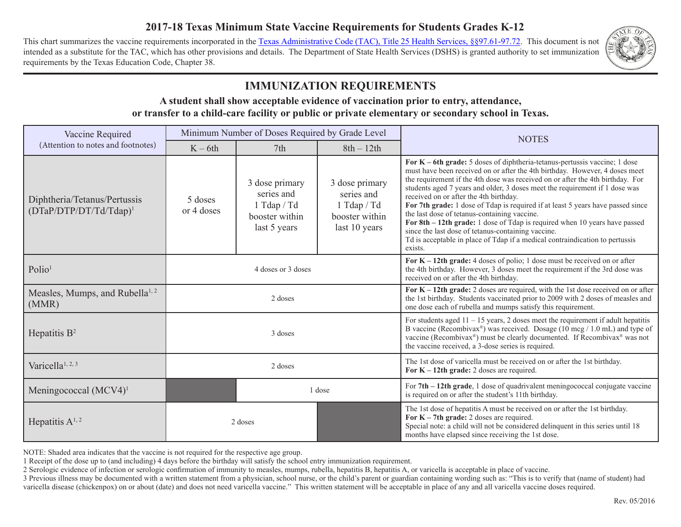# **2017-18 Texas Minimum State Vaccine Requirements for Students Grades K-12**

This chart summarizes the vaccine requirements incorporated in the [Texas Administrative Code \(TAC\), Title 25 Health Services, §§97.61-97.72.](http://texreg.sos.state.tx.us/public/readtac$ext.ViewTAC?tac_view=5&ti=25&pt=1&ch=97&sch=B&rl=Y) This document is not intended as a substitute for the TAC, which has other provisions and details. The Department of State Health Services (DSHS) is granted authority to set immunization requirements by the Texas Education Code, Chapter 38.



# **IMMUNIZATION REQUIREMENTS**

#### **A student shall show acceptable evidence of vaccination prior to entry, attendance, or transfer to a child-care facility or public or private elementary or secondary school in Texas.**

| Vaccine Required<br>(Attention to notes and footnotes)    | Minimum Number of Doses Required by Grade Level |                                                                               |                                                                                 | <b>NOTES</b>                                                                                                                                                                                                                                                                                                                                                                                                                                                                                                                                                                                                                                                                                                                             |
|-----------------------------------------------------------|-------------------------------------------------|-------------------------------------------------------------------------------|---------------------------------------------------------------------------------|------------------------------------------------------------------------------------------------------------------------------------------------------------------------------------------------------------------------------------------------------------------------------------------------------------------------------------------------------------------------------------------------------------------------------------------------------------------------------------------------------------------------------------------------------------------------------------------------------------------------------------------------------------------------------------------------------------------------------------------|
|                                                           | $K - 6th$                                       | 7th                                                                           | $8th - 12th$                                                                    |                                                                                                                                                                                                                                                                                                                                                                                                                                                                                                                                                                                                                                                                                                                                          |
| Diphtheria/Tetanus/Pertussis<br>$(DTaP/DTP/DT/Td/Tdap)^1$ | 5 doses<br>or 4 doses                           | 3 dose primary<br>series and<br>1 Tdap / Td<br>booster within<br>last 5 years | 3 dose primary<br>series and<br>1 Tdap $/Td$<br>booster within<br>last 10 years | For $K$ – 6th grade: 5 doses of diphtheria-tetanus-pertussis vaccine; 1 dose<br>must have been received on or after the 4th birthday. However, 4 doses meet<br>the requirement if the 4th dose was received on or after the 4th birthday. For<br>students aged 7 years and older, 3 doses meet the requirement if 1 dose was<br>received on or after the 4th birthday.<br>For 7th grade: 1 dose of Tdap is required if at least 5 years have passed since<br>the last dose of tetanus-containing vaccine.<br>For 8th – 12th grade: 1 dose of Tdap is required when 10 years have passed<br>since the last dose of tetanus-containing vaccine.<br>Td is acceptable in place of Tdap if a medical contraindication to pertussis<br>exists. |
| Polio <sup>1</sup>                                        | 4 doses or 3 doses                              |                                                                               |                                                                                 | For $K - 12$ th grade: 4 doses of polio; 1 dose must be received on or after<br>the 4th birthday. However, 3 doses meet the requirement if the 3rd dose was<br>received on or after the 4th birthday.                                                                                                                                                                                                                                                                                                                                                                                                                                                                                                                                    |
| Measles, Mumps, and Rubella <sup>1, 2</sup><br>(MMR)      | 2 doses                                         |                                                                               |                                                                                 | For $K - 12$ th grade: 2 doses are required, with the 1st dose received on or after<br>the 1st birthday. Students vaccinated prior to 2009 with 2 doses of measles and<br>one dose each of rubella and mumps satisfy this requirement.                                                                                                                                                                                                                                                                                                                                                                                                                                                                                                   |
| Hepatitis $B^2$                                           | 3 doses                                         |                                                                               |                                                                                 | For students aged $11 - 15$ years, 2 doses meet the requirement if adult hepatitis<br>B vaccine (Recombivax®) was received. Dosage ( $10 \text{ mg} / 1.0 \text{ mL}$ ) and type of<br>vaccine (Recombivax®) must be clearly documented. If Recombivax® was not<br>the vaccine received, a 3-dose series is required.                                                                                                                                                                                                                                                                                                                                                                                                                    |
| Varicella <sup>1, 2, 3</sup>                              | 2 doses                                         |                                                                               |                                                                                 | The 1st dose of varicella must be received on or after the 1st birthday.<br>For $K - 12$ th grade: 2 doses are required.                                                                                                                                                                                                                                                                                                                                                                                                                                                                                                                                                                                                                 |
| Meningococcal $(MCV4)^1$                                  | 1 dose                                          |                                                                               |                                                                                 | For $7th - 12th$ grade, 1 dose of quadrivalent meningococcal conjugate vaccine<br>is required on or after the student's 11th birthday.                                                                                                                                                                                                                                                                                                                                                                                                                                                                                                                                                                                                   |
| Hepatitis $A^{1,2}$                                       | 2 doses                                         |                                                                               |                                                                                 | The 1st dose of hepatitis A must be received on or after the 1st birthday.<br>For $K - 7$ th grade: 2 doses are required.<br>Special note: a child will not be considered delinquent in this series until 18<br>months have elapsed since receiving the 1st dose.                                                                                                                                                                                                                                                                                                                                                                                                                                                                        |

NOTE: Shaded area indicates that the vaccine is not required for the respective age group.

1 Receipt of the dose up to (and including) 4 days before the birthday will satisfy the school entry immunization requirement.

2 Serologic evidence of infection or serologic confirmation of immunity to measles, mumps, rubella, hepatitis B, hepatitis A, or varicella is acceptable in place of vaccine.

3 Previous illness may be documented with a written statement from a physician, school nurse, or the child's parent or guardian containing wording such as: "This is to verify that (name of student) had varicella disease (chickenpox) on or about (date) and does not need varicella vaccine." This written statement will be acceptable in place of any and all varicella vaccine doses required.